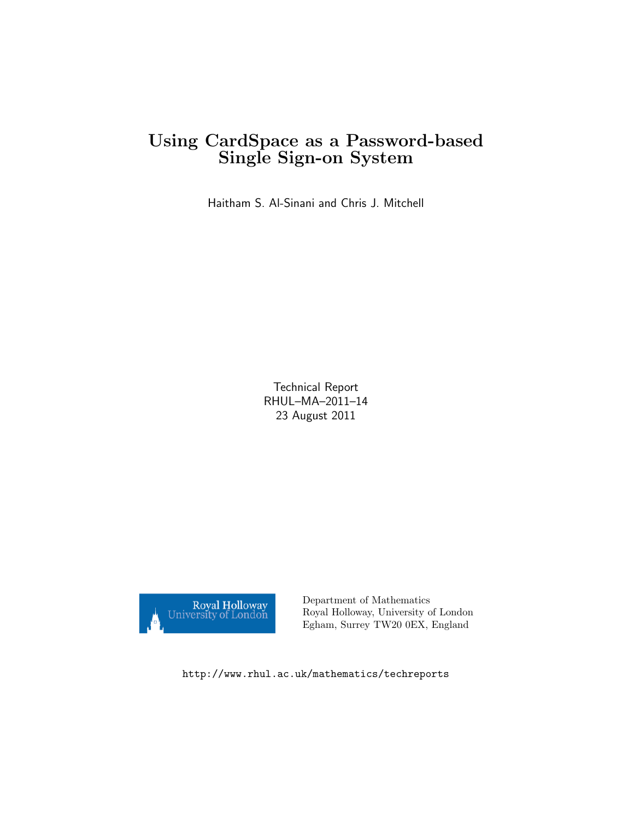# Using CardSpace as a Password-based Single Sign-on System

Haitham S. Al-Sinani and Chris J. Mitchell

Technical Report RHUL–MA–2011–14 23 August 2011



Department of Mathematics Royal Holloway, University of London Egham, Surrey TW20 0EX, England

http://www.rhul.ac.uk/mathematics/techreports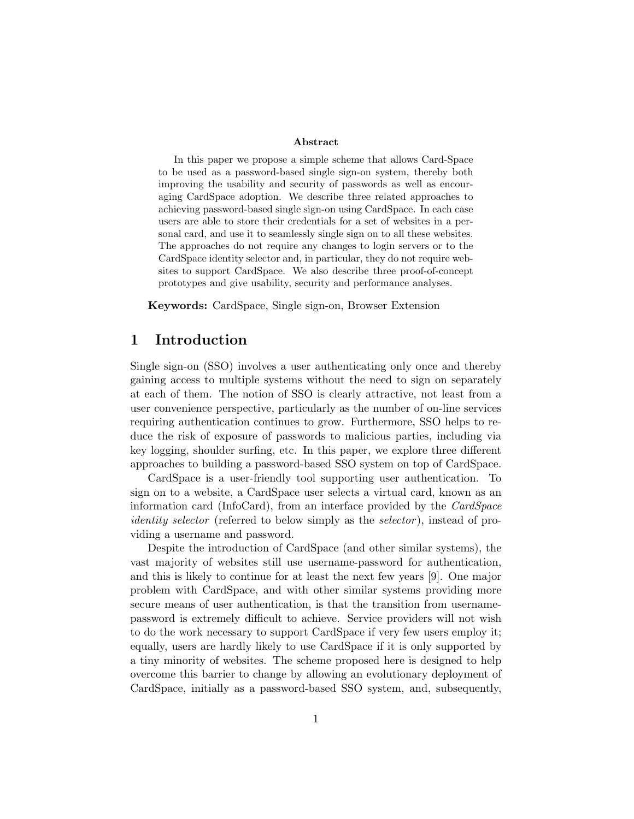#### Abstract

In this paper we propose a simple scheme that allows Card-Space to be used as a password-based single sign-on system, thereby both improving the usability and security of passwords as well as encouraging CardSpace adoption. We describe three related approaches to achieving password-based single sign-on using CardSpace. In each case users are able to store their credentials for a set of websites in a personal card, and use it to seamlessly single sign on to all these websites. The approaches do not require any changes to login servers or to the CardSpace identity selector and, in particular, they do not require websites to support CardSpace. We also describe three proof-of-concept prototypes and give usability, security and performance analyses.

Keywords: CardSpace, Single sign-on, Browser Extension

# 1 Introduction

Single sign-on (SSO) involves a user authenticating only once and thereby gaining access to multiple systems without the need to sign on separately at each of them. The notion of SSO is clearly attractive, not least from a user convenience perspective, particularly as the number of on-line services requiring authentication continues to grow. Furthermore, SSO helps to reduce the risk of exposure of passwords to malicious parties, including via key logging, shoulder surfing, etc. In this paper, we explore three different approaches to building a password-based SSO system on top of CardSpace.

CardSpace is a user-friendly tool supporting user authentication. To sign on to a website, a CardSpace user selects a virtual card, known as an information card (InfoCard), from an interface provided by the CardSpace identity selector (referred to below simply as the selector), instead of providing a username and password.

Despite the introduction of CardSpace (and other similar systems), the vast majority of websites still use username-password for authentication, and this is likely to continue for at least the next few years [9]. One major problem with CardSpace, and with other similar systems providing more secure means of user authentication, is that the transition from usernamepassword is extremely difficult to achieve. Service providers will not wish to do the work necessary to support CardSpace if very few users employ it; equally, users are hardly likely to use CardSpace if it is only supported by a tiny minority of websites. The scheme proposed here is designed to help overcome this barrier to change by allowing an evolutionary deployment of CardSpace, initially as a password-based SSO system, and, subsequently,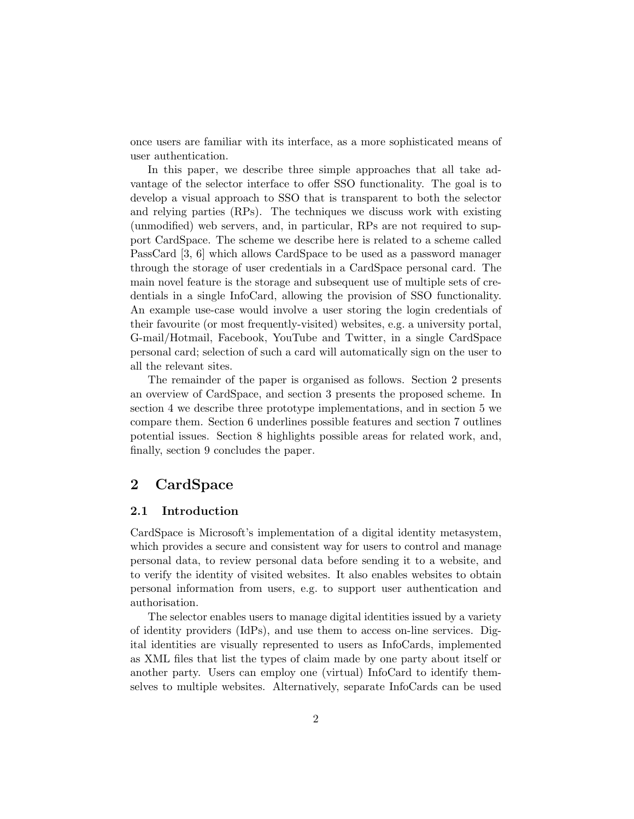once users are familiar with its interface, as a more sophisticated means of user authentication.

In this paper, we describe three simple approaches that all take advantage of the selector interface to offer SSO functionality. The goal is to develop a visual approach to SSO that is transparent to both the selector and relying parties (RPs). The techniques we discuss work with existing (unmodified) web servers, and, in particular, RPs are not required to support CardSpace. The scheme we describe here is related to a scheme called PassCard [3, 6] which allows CardSpace to be used as a password manager through the storage of user credentials in a CardSpace personal card. The main novel feature is the storage and subsequent use of multiple sets of credentials in a single InfoCard, allowing the provision of SSO functionality. An example use-case would involve a user storing the login credentials of their favourite (or most frequently-visited) websites, e.g. a university portal, G-mail/Hotmail, Facebook, YouTube and Twitter, in a single CardSpace personal card; selection of such a card will automatically sign on the user to all the relevant sites.

The remainder of the paper is organised as follows. Section 2 presents an overview of CardSpace, and section 3 presents the proposed scheme. In section 4 we describe three prototype implementations, and in section 5 we compare them. Section 6 underlines possible features and section 7 outlines potential issues. Section 8 highlights possible areas for related work, and, finally, section 9 concludes the paper.

# 2 CardSpace

### 2.1 Introduction

CardSpace is Microsoft's implementation of a digital identity metasystem, which provides a secure and consistent way for users to control and manage personal data, to review personal data before sending it to a website, and to verify the identity of visited websites. It also enables websites to obtain personal information from users, e.g. to support user authentication and authorisation.

The selector enables users to manage digital identities issued by a variety of identity providers (IdPs), and use them to access on-line services. Digital identities are visually represented to users as InfoCards, implemented as XML files that list the types of claim made by one party about itself or another party. Users can employ one (virtual) InfoCard to identify themselves to multiple websites. Alternatively, separate InfoCards can be used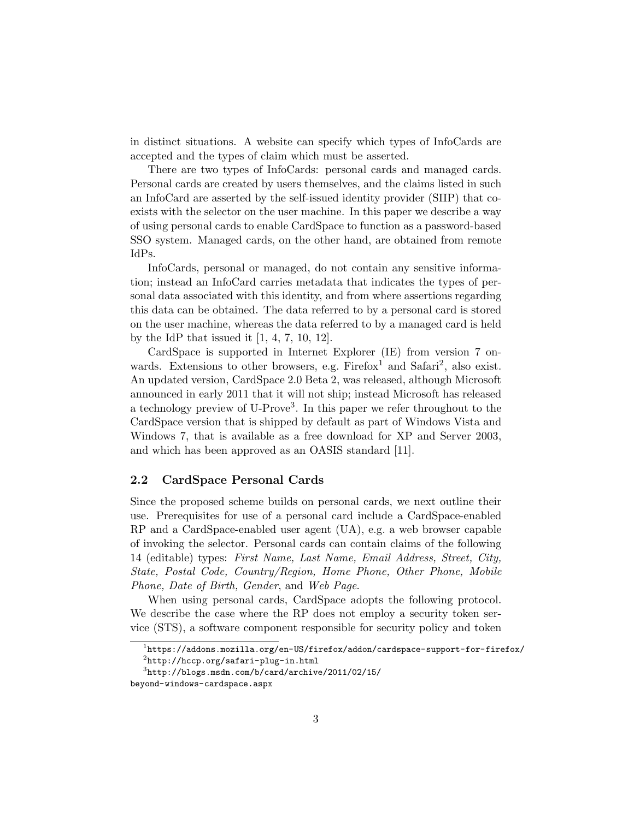in distinct situations. A website can specify which types of InfoCards are accepted and the types of claim which must be asserted.

There are two types of InfoCards: personal cards and managed cards. Personal cards are created by users themselves, and the claims listed in such an InfoCard are asserted by the self-issued identity provider (SIIP) that coexists with the selector on the user machine. In this paper we describe a way of using personal cards to enable CardSpace to function as a password-based SSO system. Managed cards, on the other hand, are obtained from remote IdPs.

InfoCards, personal or managed, do not contain any sensitive information; instead an InfoCard carries metadata that indicates the types of personal data associated with this identity, and from where assertions regarding this data can be obtained. The data referred to by a personal card is stored on the user machine, whereas the data referred to by a managed card is held by the IdP that issued it  $[1, 4, 7, 10, 12]$ .

CardSpace is supported in Internet Explorer (IE) from version 7 onwards. Extensions to other browsers, e.g.  $Firefox<sup>1</sup>$  and  $Safari<sup>2</sup>$ , also exist. An updated version, CardSpace 2.0 Beta 2, was released, although Microsoft announced in early 2011 that it will not ship; instead Microsoft has released a technology preview of U-Prove<sup>3</sup>. In this paper we refer throughout to the CardSpace version that is shipped by default as part of Windows Vista and Windows 7, that is available as a free download for XP and Server 2003, and which has been approved as an OASIS standard [11].

### 2.2 CardSpace Personal Cards

Since the proposed scheme builds on personal cards, we next outline their use. Prerequisites for use of a personal card include a CardSpace-enabled RP and a CardSpace-enabled user agent (UA), e.g. a web browser capable of invoking the selector. Personal cards can contain claims of the following 14 (editable) types: First Name, Last Name, Email Address, Street, City, State, Postal Code, Country/Region, Home Phone, Other Phone, Mobile Phone, Date of Birth, Gender, and Web Page.

When using personal cards, CardSpace adopts the following protocol. We describe the case where the RP does not employ a security token service (STS), a software component responsible for security policy and token

 $^1$ https://addons.mozilla.org/en-US/firefox/addon/cardspace-support-for-firefox/

 $^{2}$ http://hccp.org/safari-plug-in.html

 $^3$ http://blogs.msdn.com/b/card/archive/2011/02/15/

beyond-windows-cardspace.aspx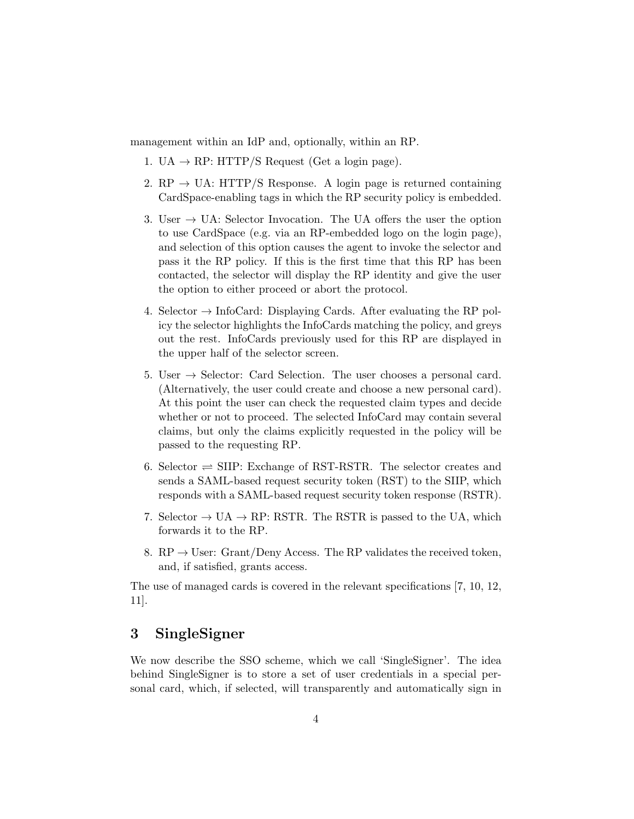management within an IdP and, optionally, within an RP.

- 1. UA  $\rightarrow$  RP: HTTP/S Request (Get a login page).
- 2. RP  $\rightarrow$  UA: HTTP/S Response. A login page is returned containing CardSpace-enabling tags in which the RP security policy is embedded.
- 3. User  $\rightarrow$  UA: Selector Invocation. The UA offers the user the option to use CardSpace (e.g. via an RP-embedded logo on the login page), and selection of this option causes the agent to invoke the selector and pass it the RP policy. If this is the first time that this RP has been contacted, the selector will display the RP identity and give the user the option to either proceed or abort the protocol.
- 4. Selector  $\rightarrow$  InfoCard: Displaying Cards. After evaluating the RP policy the selector highlights the InfoCards matching the policy, and greys out the rest. InfoCards previously used for this RP are displayed in the upper half of the selector screen.
- 5. User  $\rightarrow$  Selector: Card Selection. The user chooses a personal card. (Alternatively, the user could create and choose a new personal card). At this point the user can check the requested claim types and decide whether or not to proceed. The selected InfoCard may contain several claims, but only the claims explicitly requested in the policy will be passed to the requesting RP.
- 6. Selector  $\Rightarrow$  SIIP: Exchange of RST-RSTR. The selector creates and sends a SAML-based request security token (RST) to the SIIP, which responds with a SAML-based request security token response (RSTR).
- 7. Selector  $\rightarrow$  UA  $\rightarrow$  RP: RSTR. The RSTR is passed to the UA, which forwards it to the RP.
- 8.  $RP \rightarrow User$ : Grant/Deny Access. The RP validates the received token, and, if satisfied, grants access.

The use of managed cards is covered in the relevant specifications [7, 10, 12, 11].

# 3 SingleSigner

We now describe the SSO scheme, which we call 'SingleSigner'. The idea behind SingleSigner is to store a set of user credentials in a special personal card, which, if selected, will transparently and automatically sign in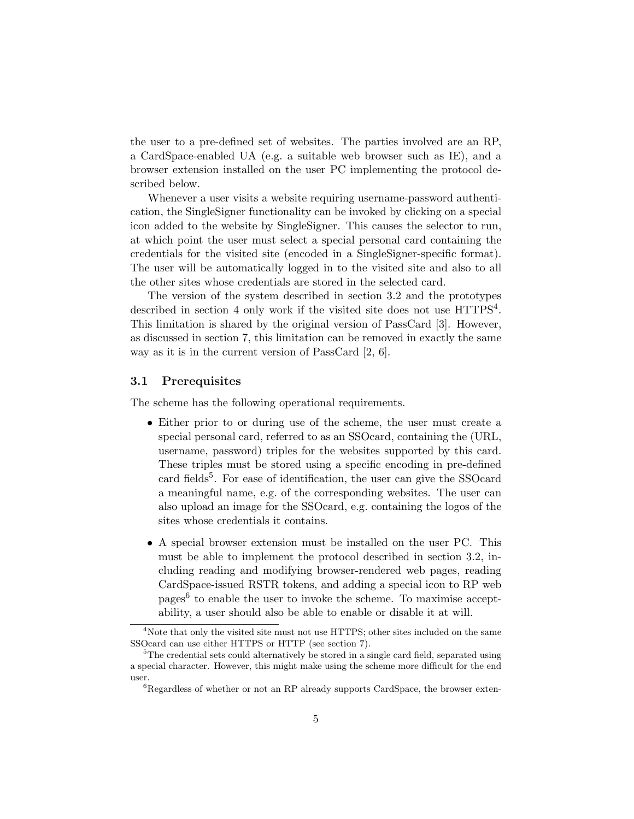the user to a pre-defined set of websites. The parties involved are an RP, a CardSpace-enabled UA (e.g. a suitable web browser such as IE), and a browser extension installed on the user PC implementing the protocol described below.

Whenever a user visits a website requiring username-password authentication, the SingleSigner functionality can be invoked by clicking on a special icon added to the website by SingleSigner. This causes the selector to run, at which point the user must select a special personal card containing the credentials for the visited site (encoded in a SingleSigner-specific format). The user will be automatically logged in to the visited site and also to all the other sites whose credentials are stored in the selected card.

The version of the system described in section 3.2 and the prototypes described in section 4 only work if the visited site does not use  $HTTPS<sup>4</sup>$ . This limitation is shared by the original version of PassCard [3]. However, as discussed in section 7, this limitation can be removed in exactly the same way as it is in the current version of PassCard [2, 6].

#### 3.1 Prerequisites

The scheme has the following operational requirements.

- Either prior to or during use of the scheme, the user must create a special personal card, referred to as an SSOcard, containing the (URL, username, password) triples for the websites supported by this card. These triples must be stored using a specific encoding in pre-defined card fields<sup>5</sup>. For ease of identification, the user can give the SSOcard a meaningful name, e.g. of the corresponding websites. The user can also upload an image for the SSOcard, e.g. containing the logos of the sites whose credentials it contains.
- A special browser extension must be installed on the user PC. This must be able to implement the protocol described in section 3.2, including reading and modifying browser-rendered web pages, reading CardSpace-issued RSTR tokens, and adding a special icon to RP web pages<sup>6</sup> to enable the user to invoke the scheme. To maximise acceptability, a user should also be able to enable or disable it at will.

<sup>&</sup>lt;sup>4</sup>Note that only the visited site must not use HTTPS; other sites included on the same SSOcard can use either HTTPS or HTTP (see section 7).

<sup>&</sup>lt;sup>5</sup>The credential sets could alternatively be stored in a single card field, separated using a special character. However, this might make using the scheme more difficult for the end user.

 ${}^{6}$ Regardless of whether or not an RP already supports CardSpace, the browser exten-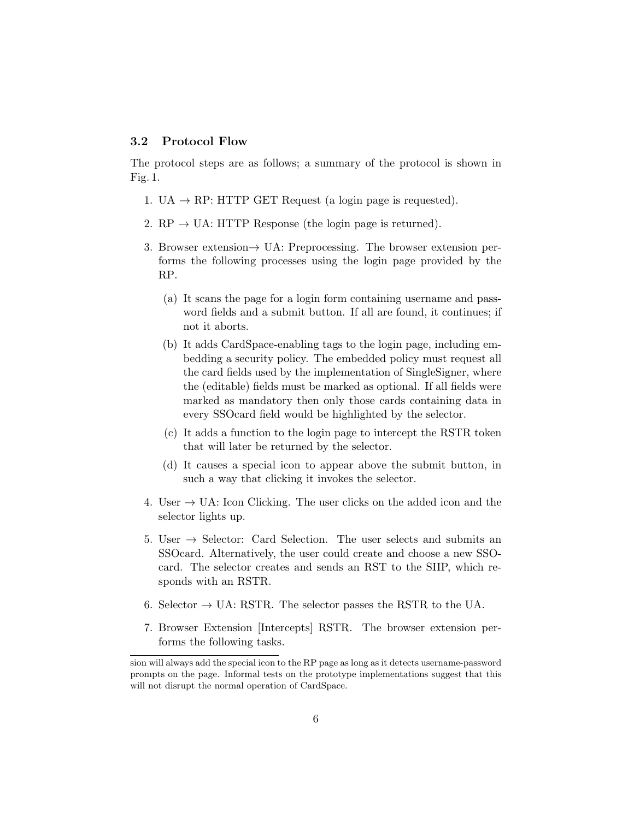### 3.2 Protocol Flow

The protocol steps are as follows; a summary of the protocol is shown in Fig. 1.

- 1. UA  $\rightarrow$  RP: HTTP GET Request (a login page is requested).
- 2.  $RP \rightarrow UA$ : HTTP Response (the login page is returned).
- 3. Browser extension→ UA: Preprocessing. The browser extension performs the following processes using the login page provided by the RP.
	- (a) It scans the page for a login form containing username and password fields and a submit button. If all are found, it continues; if not it aborts.
	- (b) It adds CardSpace-enabling tags to the login page, including embedding a security policy. The embedded policy must request all the card fields used by the implementation of SingleSigner, where the (editable) fields must be marked as optional. If all fields were marked as mandatory then only those cards containing data in every SSOcard field would be highlighted by the selector.
	- (c) It adds a function to the login page to intercept the RSTR token that will later be returned by the selector.
	- (d) It causes a special icon to appear above the submit button, in such a way that clicking it invokes the selector.
- 4. User  $\rightarrow$  UA: Icon Clicking. The user clicks on the added icon and the selector lights up.
- 5. User  $\rightarrow$  Selector: Card Selection. The user selects and submits an SSOcard. Alternatively, the user could create and choose a new SSOcard. The selector creates and sends an RST to the SIIP, which responds with an RSTR.
- 6. Selector  $\rightarrow$  UA: RSTR. The selector passes the RSTR to the UA.
- 7. Browser Extension [Intercepts] RSTR. The browser extension performs the following tasks.

sion will always add the special icon to the RP page as long as it detects username-password prompts on the page. Informal tests on the prototype implementations suggest that this will not disrupt the normal operation of CardSpace.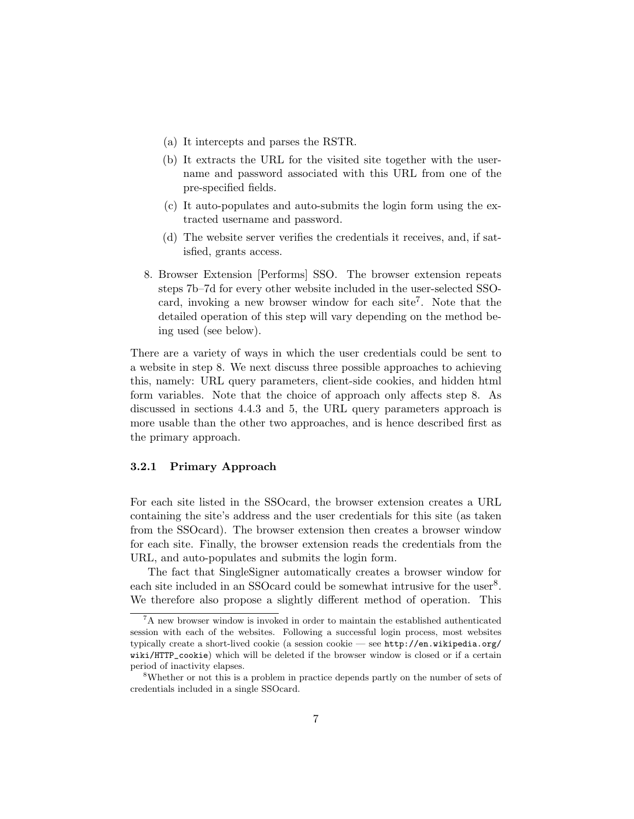- (a) It intercepts and parses the RSTR.
- (b) It extracts the URL for the visited site together with the username and password associated with this URL from one of the pre-specified fields.
- (c) It auto-populates and auto-submits the login form using the extracted username and password.
- (d) The website server verifies the credentials it receives, and, if satisfied, grants access.
- 8. Browser Extension [Performs] SSO. The browser extension repeats steps 7b–7d for every other website included in the user-selected SSOcard, invoking a new browser window for each site<sup>7</sup>. Note that the detailed operation of this step will vary depending on the method being used (see below).

There are a variety of ways in which the user credentials could be sent to a website in step 8. We next discuss three possible approaches to achieving this, namely: URL query parameters, client-side cookies, and hidden html form variables. Note that the choice of approach only affects step 8. As discussed in sections 4.4.3 and 5, the URL query parameters approach is more usable than the other two approaches, and is hence described first as the primary approach.

#### 3.2.1 Primary Approach

For each site listed in the SSOcard, the browser extension creates a URL containing the site's address and the user credentials for this site (as taken from the SSOcard). The browser extension then creates a browser window for each site. Finally, the browser extension reads the credentials from the URL, and auto-populates and submits the login form.

The fact that SingleSigner automatically creates a browser window for each site included in an SSOcard could be somewhat intrusive for the user<sup>8</sup>. We therefore also propose a slightly different method of operation. This

<sup>&</sup>lt;sup>7</sup>A new browser window is invoked in order to maintain the established authenticated session with each of the websites. Following a successful login process, most websites typically create a short-lived cookie (a session cookie — see http://en.wikipedia.org/ wiki/HTTP\_cookie) which will be deleted if the browser window is closed or if a certain period of inactivity elapses.

<sup>8</sup>Whether or not this is a problem in practice depends partly on the number of sets of credentials included in a single SSOcard.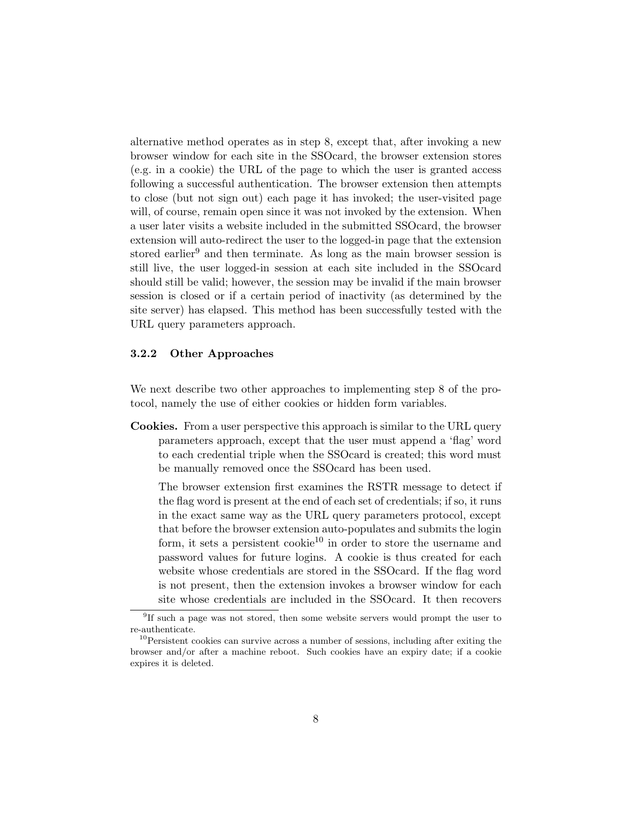alternative method operates as in step 8, except that, after invoking a new browser window for each site in the SSOcard, the browser extension stores (e.g. in a cookie) the URL of the page to which the user is granted access following a successful authentication. The browser extension then attempts to close (but not sign out) each page it has invoked; the user-visited page will, of course, remain open since it was not invoked by the extension. When a user later visits a website included in the submitted SSOcard, the browser extension will auto-redirect the user to the logged-in page that the extension stored earlier<sup>9</sup> and then terminate. As long as the main browser session is still live, the user logged-in session at each site included in the SSOcard should still be valid; however, the session may be invalid if the main browser session is closed or if a certain period of inactivity (as determined by the site server) has elapsed. This method has been successfully tested with the URL query parameters approach.

#### 3.2.2 Other Approaches

We next describe two other approaches to implementing step 8 of the protocol, namely the use of either cookies or hidden form variables.

Cookies. From a user perspective this approach is similar to the URL query parameters approach, except that the user must append a 'flag' word to each credential triple when the SSOcard is created; this word must be manually removed once the SSOcard has been used.

The browser extension first examines the RSTR message to detect if the flag word is present at the end of each set of credentials; if so, it runs in the exact same way as the URL query parameters protocol, except that before the browser extension auto-populates and submits the login form, it sets a persistent cookie<sup>10</sup> in order to store the username and password values for future logins. A cookie is thus created for each website whose credentials are stored in the SSOcard. If the flag word is not present, then the extension invokes a browser window for each site whose credentials are included in the SSOcard. It then recovers

<sup>&</sup>lt;sup>9</sup>If such a page was not stored, then some website servers would prompt the user to re-authenticate.

<sup>10</sup>Persistent cookies can survive across a number of sessions, including after exiting the browser and/or after a machine reboot. Such cookies have an expiry date; if a cookie expires it is deleted.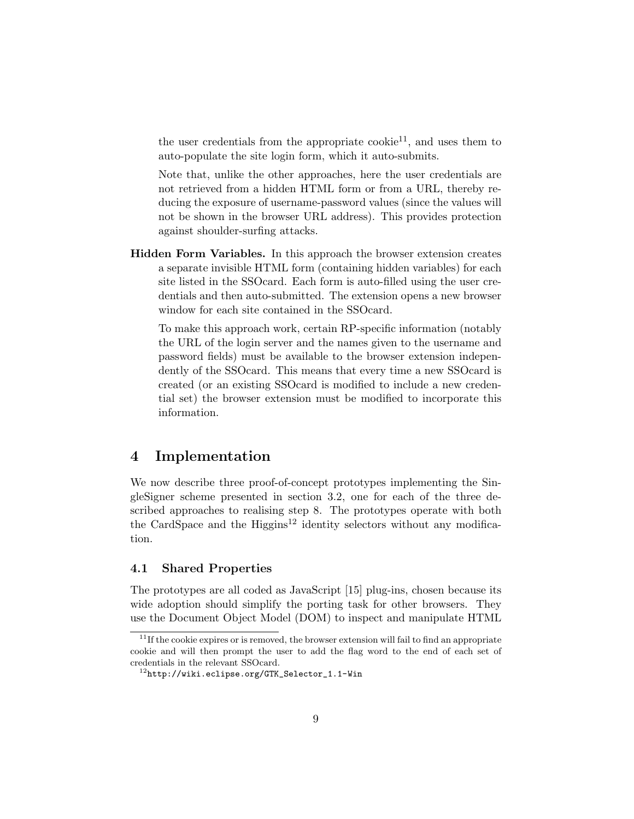the user credentials from the appropriate cookie $^{11}$ , and uses them to auto-populate the site login form, which it auto-submits.

Note that, unlike the other approaches, here the user credentials are not retrieved from a hidden HTML form or from a URL, thereby reducing the exposure of username-password values (since the values will not be shown in the browser URL address). This provides protection against shoulder-surfing attacks.

Hidden Form Variables. In this approach the browser extension creates a separate invisible HTML form (containing hidden variables) for each site listed in the SSOcard. Each form is auto-filled using the user credentials and then auto-submitted. The extension opens a new browser window for each site contained in the SSOcard.

To make this approach work, certain RP-specific information (notably the URL of the login server and the names given to the username and password fields) must be available to the browser extension independently of the SSOcard. This means that every time a new SSOcard is created (or an existing SSOcard is modified to include a new credential set) the browser extension must be modified to incorporate this information.

# 4 Implementation

We now describe three proof-of-concept prototypes implementing the SingleSigner scheme presented in section 3.2, one for each of the three described approaches to realising step 8. The prototypes operate with both the CardSpace and the  $\text{Higgs}^{12}$  identity selectors without any modification.

### 4.1 Shared Properties

The prototypes are all coded as JavaScript [15] plug-ins, chosen because its wide adoption should simplify the porting task for other browsers. They use the Document Object Model (DOM) to inspect and manipulate HTML

 $11$ If the cookie expires or is removed, the browser extension will fail to find an appropriate cookie and will then prompt the user to add the flag word to the end of each set of credentials in the relevant SSOcard.

<sup>12</sup>http://wiki.eclipse.org/GTK\_Selector\_1.1-Win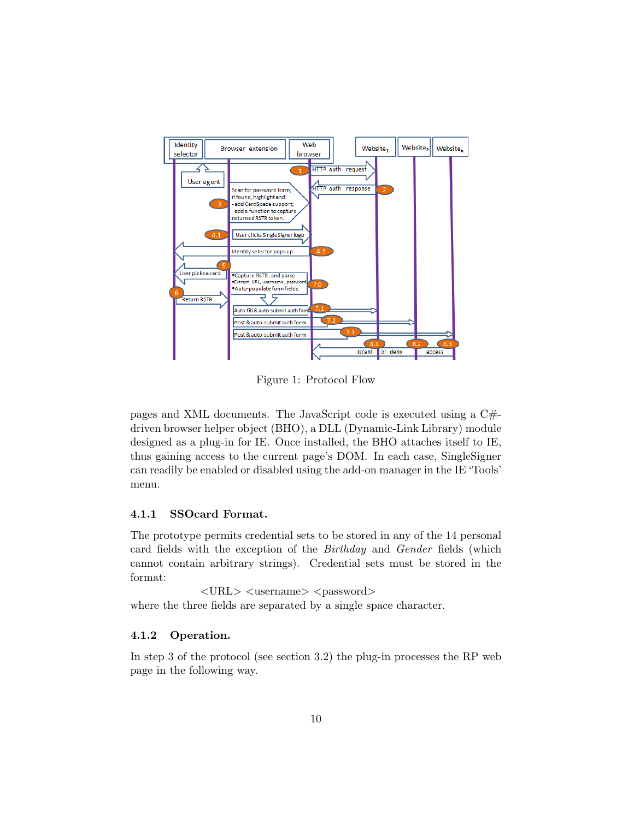

Figure 1: Protocol Flow

pages and XML documents. The JavaScript code is executed using a C# driven browser helper object (BHO), a DLL (Dynamic-Link Library) module designed as a plug-in for IE. Once installed, the BHO attaches itself to IE, thus gaining access to the current page's DOM. In each case, SingleSigner can readily be enabled or disabled using the add-on manager in the IE 'Tools' menu.

### 4.1.1 SSOcard Format.

The prototype permits credential sets to be stored in any of the 14 personal card fields with the exception of the Birthday and Gender fields (which cannot contain arbitrary strings). Credential sets must be stored in the format:

 $\langle \text{URL} \rangle$   $\langle \text{username} \rangle$   $\langle \text{password} \rangle$ where the three fields are separated by a single space character.

### 4.1.2 Operation.

In step 3 of the protocol (see section 3.2) the plug-in processes the RP web page in the following way.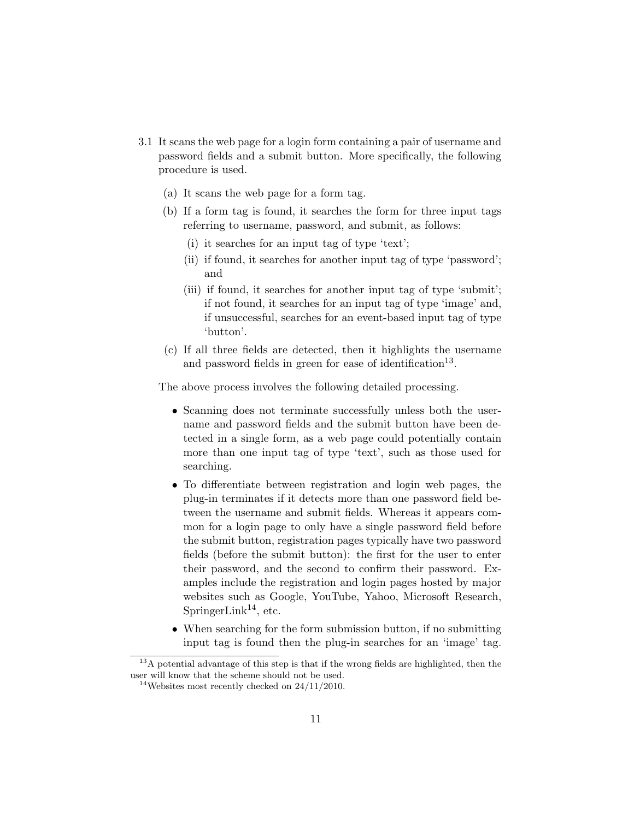- 3.1 It scans the web page for a login form containing a pair of username and password fields and a submit button. More specifically, the following procedure is used.
	- (a) It scans the web page for a form tag.
	- (b) If a form tag is found, it searches the form for three input tags referring to username, password, and submit, as follows:
		- (i) it searches for an input tag of type 'text';
		- (ii) if found, it searches for another input tag of type 'password'; and
		- (iii) if found, it searches for another input tag of type 'submit'; if not found, it searches for an input tag of type 'image' and, if unsuccessful, searches for an event-based input tag of type 'button'.
	- (c) If all three fields are detected, then it highlights the username and password fields in green for ease of identification<sup>13</sup>.

The above process involves the following detailed processing.

- Scanning does not terminate successfully unless both the username and password fields and the submit button have been detected in a single form, as a web page could potentially contain more than one input tag of type 'text', such as those used for searching.
- To differentiate between registration and login web pages, the plug-in terminates if it detects more than one password field between the username and submit fields. Whereas it appears common for a login page to only have a single password field before the submit button, registration pages typically have two password fields (before the submit button): the first for the user to enter their password, and the second to confirm their password. Examples include the registration and login pages hosted by major websites such as Google, YouTube, Yahoo, Microsoft Research, SpringerLink<sup>14</sup>, etc.
- When searching for the form submission button, if no submitting input tag is found then the plug-in searches for an 'image' tag.

<sup>&</sup>lt;sup>13</sup>A potential advantage of this step is that if the wrong fields are highlighted, then the user will know that the scheme should not be used.

<sup>&</sup>lt;sup>14</sup>Websites most recently checked on  $24/11/2010$ .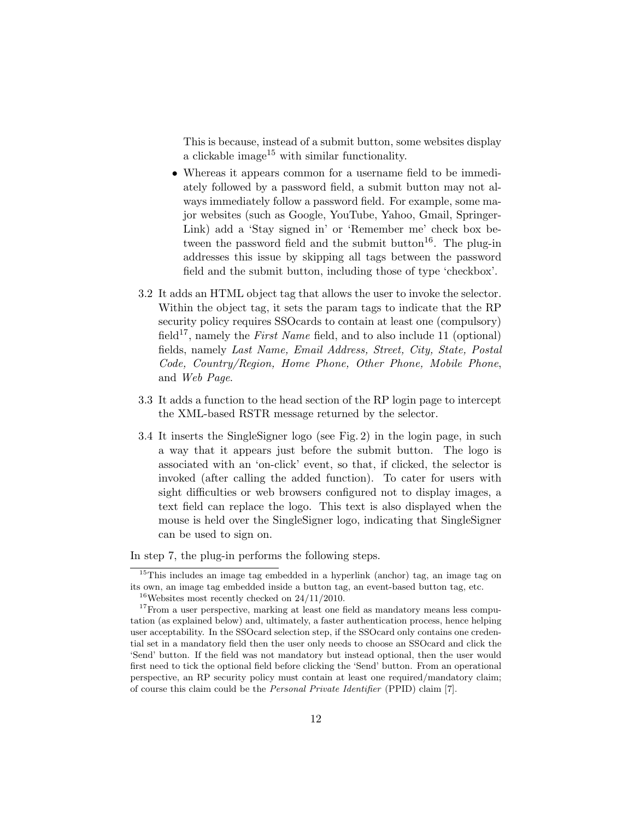This is because, instead of a submit button, some websites display a clickable image<sup>15</sup> with similar functionality.

- Whereas it appears common for a username field to be immediately followed by a password field, a submit button may not always immediately follow a password field. For example, some major websites (such as Google, YouTube, Yahoo, Gmail, Springer-Link) add a 'Stay signed in' or 'Remember me' check box between the password field and the submit button<sup>16</sup>. The plug-in addresses this issue by skipping all tags between the password field and the submit button, including those of type 'checkbox'.
- 3.2 It adds an HTML object tag that allows the user to invoke the selector. Within the object tag, it sets the param tags to indicate that the RP security policy requires SSOcards to contain at least one (compulsory) field<sup>17</sup>, namely the *First Name* field, and to also include 11 (optional) fields, namely Last Name, Email Address, Street, City, State, Postal Code, Country/Region, Home Phone, Other Phone, Mobile Phone, and Web Page.
- 3.3 It adds a function to the head section of the RP login page to intercept the XML-based RSTR message returned by the selector.
- 3.4 It inserts the SingleSigner logo (see Fig. 2) in the login page, in such a way that it appears just before the submit button. The logo is associated with an 'on-click' event, so that, if clicked, the selector is invoked (after calling the added function). To cater for users with sight difficulties or web browsers configured not to display images, a text field can replace the logo. This text is also displayed when the mouse is held over the SingleSigner logo, indicating that SingleSigner can be used to sign on.

In step 7, the plug-in performs the following steps.

<sup>&</sup>lt;sup>15</sup>This includes an image tag embedded in a hyperlink (anchor) tag, an image tag on its own, an image tag embedded inside a button tag, an event-based button tag, etc.

<sup>&</sup>lt;sup>16</sup>Websites most recently checked on  $24/11/2010$ .

<sup>&</sup>lt;sup>17</sup>From a user perspective, marking at least one field as mandatory means less computation (as explained below) and, ultimately, a faster authentication process, hence helping user acceptability. In the SSOcard selection step, if the SSOcard only contains one credential set in a mandatory field then the user only needs to choose an SSOcard and click the 'Send' button. If the field was not mandatory but instead optional, then the user would first need to tick the optional field before clicking the 'Send' button. From an operational perspective, an RP security policy must contain at least one required/mandatory claim; of course this claim could be the Personal Private Identifier (PPID) claim [7].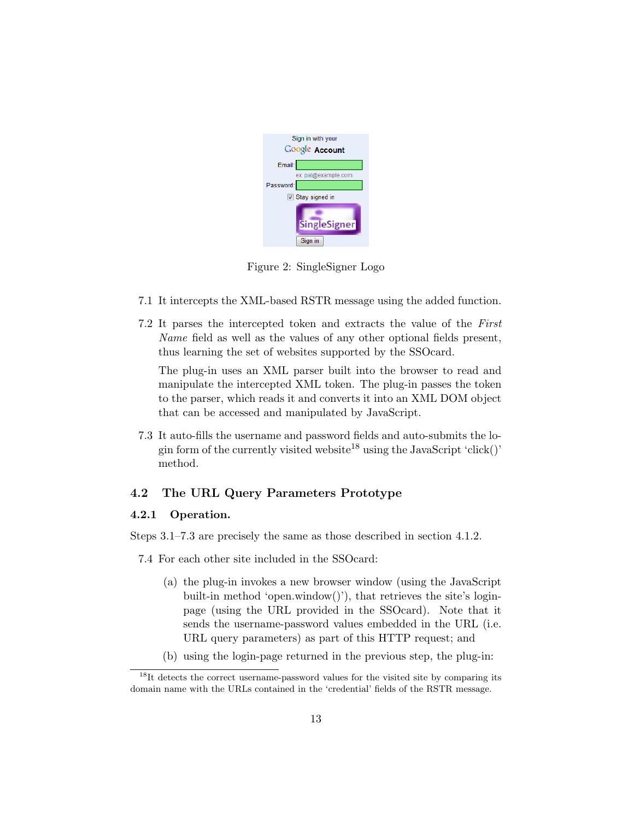

Figure 2: SingleSigner Logo

- 7.1 It intercepts the XML-based RSTR message using the added function.
- 7.2 It parses the intercepted token and extracts the value of the First Name field as well as the values of any other optional fields present, thus learning the set of websites supported by the SSOcard.

The plug-in uses an XML parser built into the browser to read and manipulate the intercepted XML token. The plug-in passes the token to the parser, which reads it and converts it into an XML DOM object that can be accessed and manipulated by JavaScript.

7.3 It auto-fills the username and password fields and auto-submits the login form of the currently visited website<sup>18</sup> using the JavaScript 'click()' method.

### 4.2 The URL Query Parameters Prototype

#### 4.2.1 Operation.

Steps 3.1–7.3 are precisely the same as those described in section 4.1.2.

- 7.4 For each other site included in the SSOcard:
	- (a) the plug-in invokes a new browser window (using the JavaScript built-in method 'open.window()'), that retrieves the site's loginpage (using the URL provided in the SSOcard). Note that it sends the username-password values embedded in the URL (i.e. URL query parameters) as part of this HTTP request; and
	- (b) using the login-page returned in the previous step, the plug-in:

<sup>&</sup>lt;sup>18</sup>It detects the correct username-password values for the visited site by comparing its domain name with the URLs contained in the 'credential' fields of the RSTR message.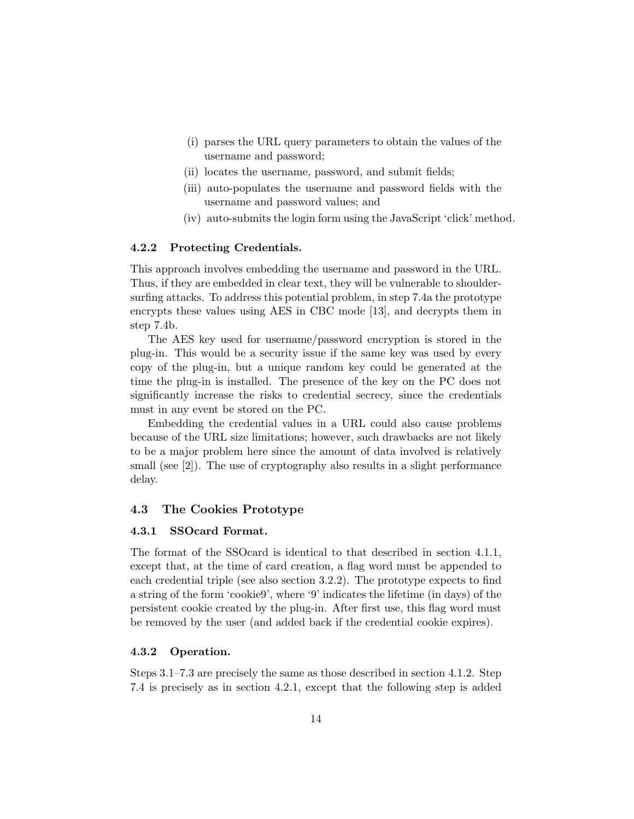- (i) parses the URL query parameters to obtain the values of the username and password;
- (ii) locates the username, password, and submit fields;
- (iii) auto-populates the username and password fields with the username and password values; and
- (iv) auto-submits the login form using the JavaScript 'click' method.

#### 4.2.2 Protecting Credentials.

This approach involves embedding the username and password in the URL. Thus, if they are embedded in clear text, they will be vulnerable to shouldersurfing attacks. To address this potential problem, in step 7.4a the prototype encrypts these values using AES in CBC mode [13], and decrypts them in step 7.4b.

The AES key used for username/password encryption is stored in the plug-in. This would be a security issue if the same key was used by every copy of the plug-in, but a unique random key could be generated at the time the plug-in is installed. The presence of the key on the PC does not significantly increase the risks to credential secrecy, since the credentials must in any event be stored on the PC.

Embedding the credential values in a URL could also cause problems because of the URL size limitations; however, such drawbacks are not likely to be a major problem here since the amount of data involved is relatively small (see [2]). The use of cryptography also results in a slight performance delay.

#### 4.3 The Cookies Prototype

### 4.3.1 SSOcard Format.

The format of the SSOcard is identical to that described in section 4.1.1, except that, at the time of card creation, a flag word must be appended to each credential triple (see also section 3.2.2). The prototype expects to find a string of the form 'cookie9', where '9' indicates the lifetime (in days) of the persistent cookie created by the plug-in. After first use, this flag word must be removed by the user (and added back if the credential cookie expires).

#### 4.3.2 Operation.

Steps 3.1–7.3 are precisely the same as those described in section 4.1.2. Step 7.4 is precisely as in section 4.2.1, except that the following step is added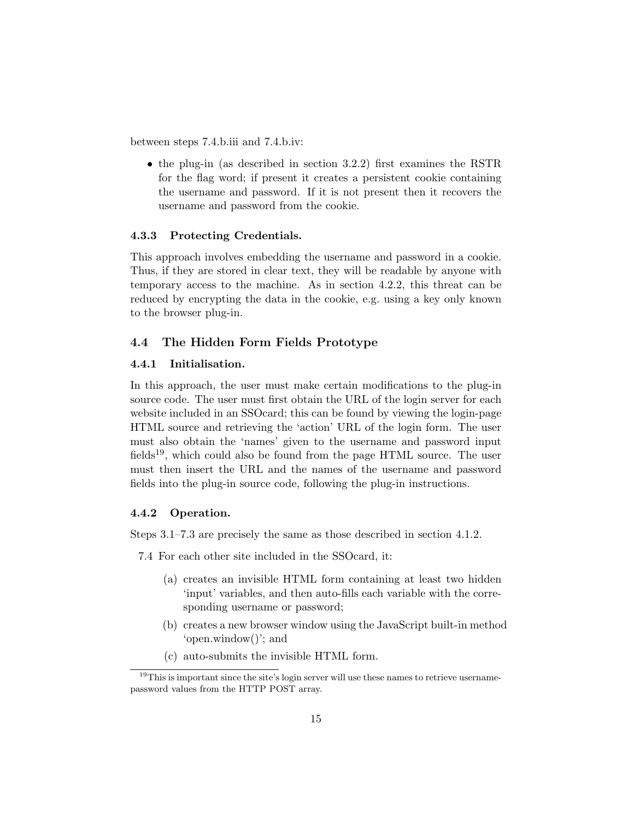between steps 7.4.b.iii and 7.4.b.iv:

• the plug-in (as described in section 3.2.2) first examines the RSTR for the flag word; if present it creates a persistent cookie containing the username and password. If it is not present then it recovers the username and password from the cookie.

#### 4.3.3 Protecting Credentials.

This approach involves embedding the username and password in a cookie. Thus, if they are stored in clear text, they will be readable by anyone with temporary access to the machine. As in section 4.2.2, this threat can be reduced by encrypting the data in the cookie, e.g. using a key only known to the browser plug-in.

#### 4.4 The Hidden Form Fields Prototype

### 4.4.1 Initialisation.

In this approach, the user must make certain modifications to the plug-in source code. The user must first obtain the URL of the login server for each website included in an SSOcard; this can be found by viewing the login-page HTML source and retrieving the 'action' URL of the login form. The user must also obtain the 'names' given to the username and password input fields<sup>19</sup>, which could also be found from the page HTML source. The user must then insert the URL and the names of the username and password fields into the plug-in source code, following the plug-in instructions.

#### 4.4.2 Operation.

Steps 3.1–7.3 are precisely the same as those described in section 4.1.2.

7.4 For each other site included in the SSOcard, it:

- (a) creates an invisible HTML form containing at least two hidden 'input' variables, and then auto-fills each variable with the corresponding username or password;
- (b) creates a new browser window using the JavaScript built-in method 'open.window()'; and
- (c) auto-submits the invisible HTML form.

<sup>&</sup>lt;sup>19</sup>This is important since the site's login server will use these names to retrieve usernamepassword values from the HTTP POST array.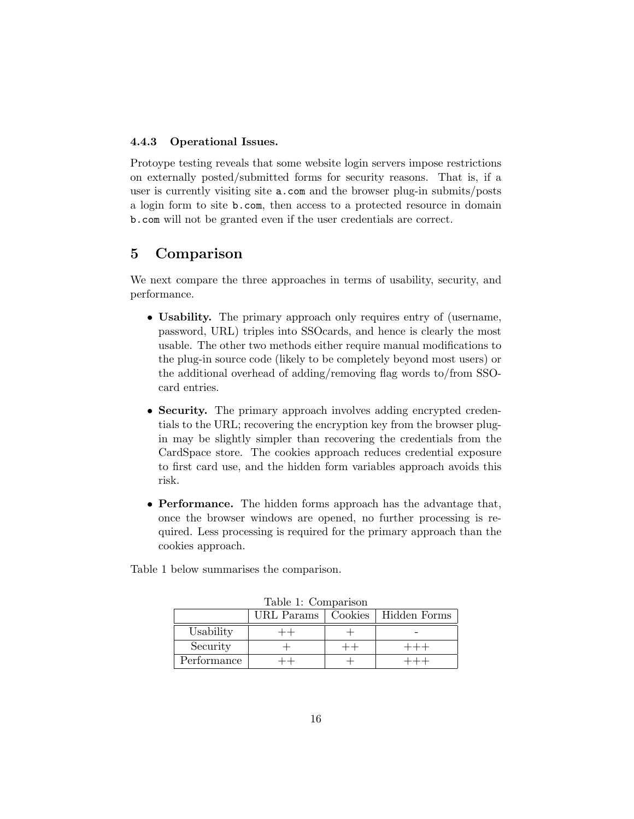### 4.4.3 Operational Issues.

Protoype testing reveals that some website login servers impose restrictions on externally posted/submitted forms for security reasons. That is, if a user is currently visiting site a.com and the browser plug-in submits/posts a login form to site b.com, then access to a protected resource in domain b.com will not be granted even if the user credentials are correct.

# 5 Comparison

We next compare the three approaches in terms of usability, security, and performance.

- Usability. The primary approach only requires entry of (username, password, URL) triples into SSOcards, and hence is clearly the most usable. The other two methods either require manual modifications to the plug-in source code (likely to be completely beyond most users) or the additional overhead of adding/removing flag words to/from SSOcard entries.
- Security. The primary approach involves adding encrypted credentials to the URL; recovering the encryption key from the browser plugin may be slightly simpler than recovering the credentials from the CardSpace store. The cookies approach reduces credential exposure to first card use, and the hidden form variables approach avoids this risk.
- Performance. The hidden forms approach has the advantage that, once the browser windows are opened, no further processing is required. Less processing is required for the primary approach than the cookies approach.

Table 1 below summarises the comparison.

|             | rapic 1. Compainon<br>URL Params | Cookies   Hidden Forms |
|-------------|----------------------------------|------------------------|
| Usability   |                                  |                        |
| Security    |                                  |                        |
| Performance |                                  |                        |

Table 1: Comparison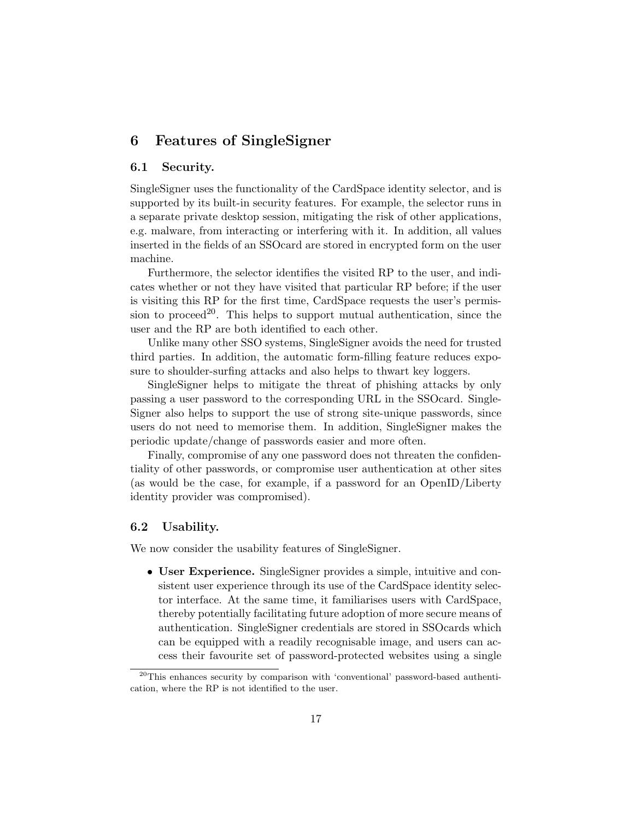# 6 Features of SingleSigner

### 6.1 Security.

SingleSigner uses the functionality of the CardSpace identity selector, and is supported by its built-in security features. For example, the selector runs in a separate private desktop session, mitigating the risk of other applications, e.g. malware, from interacting or interfering with it. In addition, all values inserted in the fields of an SSOcard are stored in encrypted form on the user machine.

Furthermore, the selector identifies the visited RP to the user, and indicates whether or not they have visited that particular RP before; if the user is visiting this RP for the first time, CardSpace requests the user's permission to proceed<sup>20</sup>. This helps to support mutual authentication, since the user and the RP are both identified to each other.

Unlike many other SSO systems, SingleSigner avoids the need for trusted third parties. In addition, the automatic form-filling feature reduces exposure to shoulder-surfing attacks and also helps to thwart key loggers.

SingleSigner helps to mitigate the threat of phishing attacks by only passing a user password to the corresponding URL in the SSOcard. Single-Signer also helps to support the use of strong site-unique passwords, since users do not need to memorise them. In addition, SingleSigner makes the periodic update/change of passwords easier and more often.

Finally, compromise of any one password does not threaten the confidentiality of other passwords, or compromise user authentication at other sites (as would be the case, for example, if a password for an OpenID/Liberty identity provider was compromised).

### 6.2 Usability.

We now consider the usability features of SingleSigner.

• User Experience. SingleSigner provides a simple, intuitive and consistent user experience through its use of the CardSpace identity selector interface. At the same time, it familiarises users with CardSpace, thereby potentially facilitating future adoption of more secure means of authentication. SingleSigner credentials are stored in SSOcards which can be equipped with a readily recognisable image, and users can access their favourite set of password-protected websites using a single

<sup>20</sup>This enhances security by comparison with 'conventional' password-based authentication, where the RP is not identified to the user.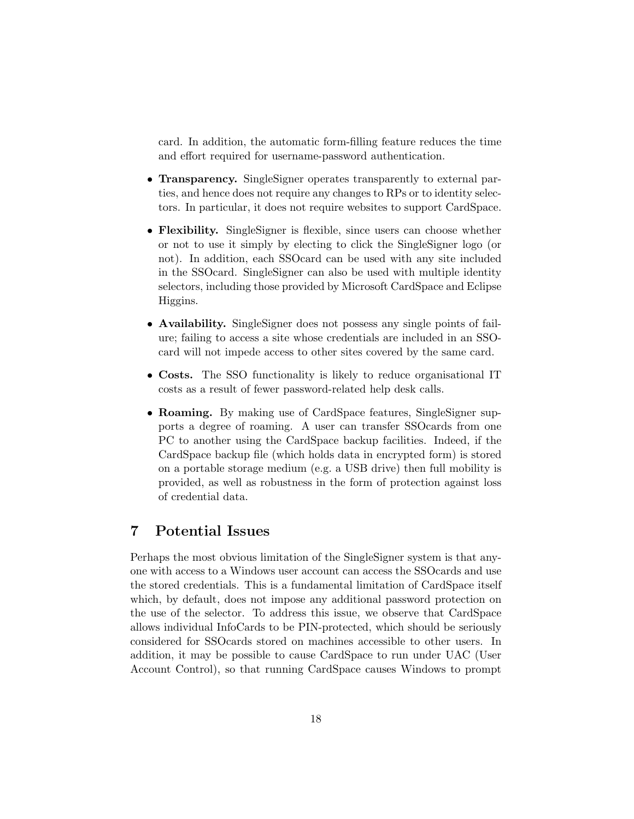card. In addition, the automatic form-filling feature reduces the time and effort required for username-password authentication.

- Transparency. SingleSigner operates transparently to external parties, and hence does not require any changes to RPs or to identity selectors. In particular, it does not require websites to support CardSpace.
- Flexibility. SingleSigner is flexible, since users can choose whether or not to use it simply by electing to click the SingleSigner logo (or not). In addition, each SSOcard can be used with any site included in the SSOcard. SingleSigner can also be used with multiple identity selectors, including those provided by Microsoft CardSpace and Eclipse Higgins.
- Availability. Single Signer does not possess any single points of failure; failing to access a site whose credentials are included in an SSOcard will not impede access to other sites covered by the same card.
- Costs. The SSO functionality is likely to reduce organisational IT costs as a result of fewer password-related help desk calls.
- Roaming. By making use of CardSpace features, SingleSigner supports a degree of roaming. A user can transfer SSOcards from one PC to another using the CardSpace backup facilities. Indeed, if the CardSpace backup file (which holds data in encrypted form) is stored on a portable storage medium (e.g. a USB drive) then full mobility is provided, as well as robustness in the form of protection against loss of credential data.

# 7 Potential Issues

Perhaps the most obvious limitation of the SingleSigner system is that anyone with access to a Windows user account can access the SSOcards and use the stored credentials. This is a fundamental limitation of CardSpace itself which, by default, does not impose any additional password protection on the use of the selector. To address this issue, we observe that CardSpace allows individual InfoCards to be PIN-protected, which should be seriously considered for SSOcards stored on machines accessible to other users. In addition, it may be possible to cause CardSpace to run under UAC (User Account Control), so that running CardSpace causes Windows to prompt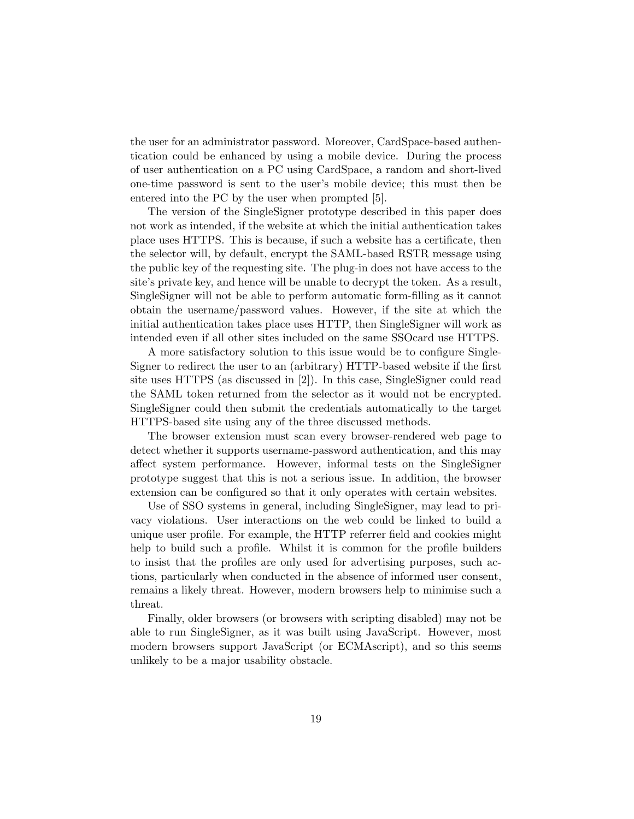the user for an administrator password. Moreover, CardSpace-based authentication could be enhanced by using a mobile device. During the process of user authentication on a PC using CardSpace, a random and short-lived one-time password is sent to the user's mobile device; this must then be entered into the PC by the user when prompted [5].

The version of the SingleSigner prototype described in this paper does not work as intended, if the website at which the initial authentication takes place uses HTTPS. This is because, if such a website has a certificate, then the selector will, by default, encrypt the SAML-based RSTR message using the public key of the requesting site. The plug-in does not have access to the site's private key, and hence will be unable to decrypt the token. As a result, SingleSigner will not be able to perform automatic form-filling as it cannot obtain the username/password values. However, if the site at which the initial authentication takes place uses HTTP, then SingleSigner will work as intended even if all other sites included on the same SSOcard use HTTPS.

A more satisfactory solution to this issue would be to configure Single-Signer to redirect the user to an (arbitrary) HTTP-based website if the first site uses HTTPS (as discussed in [2]). In this case, SingleSigner could read the SAML token returned from the selector as it would not be encrypted. SingleSigner could then submit the credentials automatically to the target HTTPS-based site using any of the three discussed methods.

The browser extension must scan every browser-rendered web page to detect whether it supports username-password authentication, and this may affect system performance. However, informal tests on the SingleSigner prototype suggest that this is not a serious issue. In addition, the browser extension can be configured so that it only operates with certain websites.

Use of SSO systems in general, including SingleSigner, may lead to privacy violations. User interactions on the web could be linked to build a unique user profile. For example, the HTTP referrer field and cookies might help to build such a profile. Whilst it is common for the profile builders to insist that the profiles are only used for advertising purposes, such actions, particularly when conducted in the absence of informed user consent, remains a likely threat. However, modern browsers help to minimise such a threat.

Finally, older browsers (or browsers with scripting disabled) may not be able to run SingleSigner, as it was built using JavaScript. However, most modern browsers support JavaScript (or ECMAscript), and so this seems unlikely to be a major usability obstacle.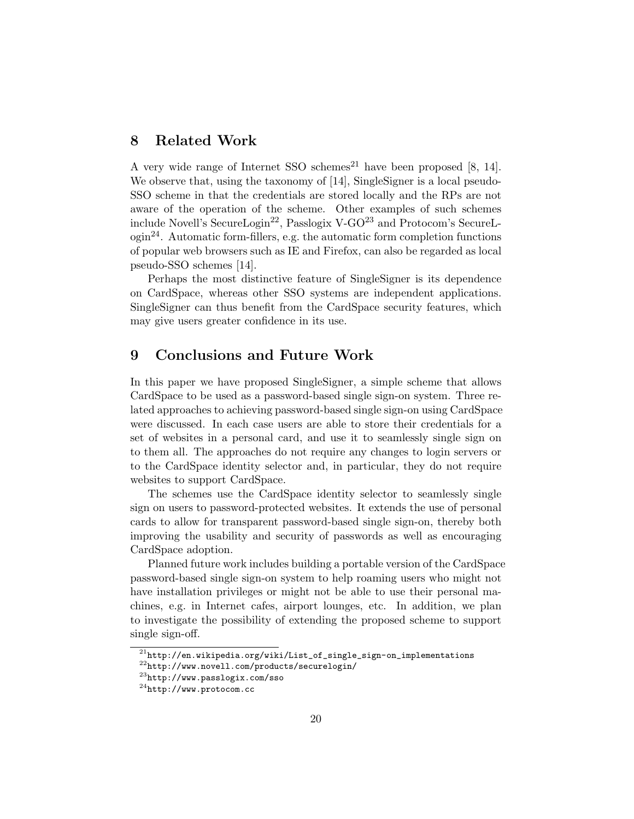# 8 Related Work

A very wide range of Internet SSO schemes<sup>21</sup> have been proposed  $[8, 14]$ . We observe that, using the taxonomy of [14], SingleSigner is a local pseudo-SSO scheme in that the credentials are stored locally and the RPs are not aware of the operation of the scheme. Other examples of such schemes include Novell's SecureLogin<sup>22</sup>, Passlogix V-GO<sup>23</sup> and Protocom's SecureL- $\gamma$  ogin<sup>24</sup>. Automatic form-fillers, e.g. the automatic form completion functions of popular web browsers such as IE and Firefox, can also be regarded as local pseudo-SSO schemes [14].

Perhaps the most distinctive feature of SingleSigner is its dependence on CardSpace, whereas other SSO systems are independent applications. SingleSigner can thus benefit from the CardSpace security features, which may give users greater confidence in its use.

### 9 Conclusions and Future Work

In this paper we have proposed SingleSigner, a simple scheme that allows CardSpace to be used as a password-based single sign-on system. Three related approaches to achieving password-based single sign-on using CardSpace were discussed. In each case users are able to store their credentials for a set of websites in a personal card, and use it to seamlessly single sign on to them all. The approaches do not require any changes to login servers or to the CardSpace identity selector and, in particular, they do not require websites to support CardSpace.

The schemes use the CardSpace identity selector to seamlessly single sign on users to password-protected websites. It extends the use of personal cards to allow for transparent password-based single sign-on, thereby both improving the usability and security of passwords as well as encouraging CardSpace adoption.

Planned future work includes building a portable version of the CardSpace password-based single sign-on system to help roaming users who might not have installation privileges or might not be able to use their personal machines, e.g. in Internet cafes, airport lounges, etc. In addition, we plan to investigate the possibility of extending the proposed scheme to support single sign-off.

 $^{21}\mathrm{http://en.wikipedia.org/wiki/List_of\_single\_sign-on\_implementations}$ 

<sup>22</sup>http://www.novell.com/products/securelogin/

<sup>23</sup>http://www.passlogix.com/sso

<sup>24</sup>http://www.protocom.cc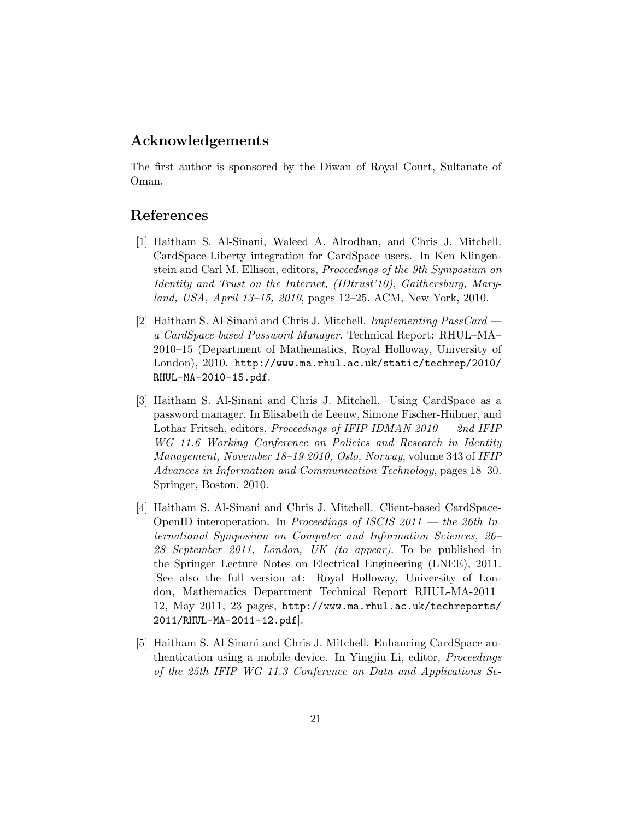# Acknowledgements

The first author is sponsored by the Diwan of Royal Court, Sultanate of Oman.

# References

- [1] Haitham S. Al-Sinani, Waleed A. Alrodhan, and Chris J. Mitchell. CardSpace-Liberty integration for CardSpace users. In Ken Klingenstein and Carl M. Ellison, editors, Proceedings of the 9th Symposium on Identity and Trust on the Internet, (IDtrust'10), Gaithersburg, Maryland, USA, April 13–15, 2010, pages 12–25. ACM, New York, 2010.
- [2] Haitham S. Al-Sinani and Chris J. Mitchell. Implementing PassCard a CardSpace-based Password Manager. Technical Report: RHUL–MA– 2010–15 (Department of Mathematics, Royal Holloway, University of London), 2010. http://www.ma.rhul.ac.uk/static/techrep/2010/ RHUL-MA-2010-15.pdf.
- [3] Haitham S. Al-Sinani and Chris J. Mitchell. Using CardSpace as a password manager. In Elisabeth de Leeuw, Simone Fischer-Hübner, and Lothar Fritsch, editors, Proceedings of IFIP IDMAN 2010 — 2nd IFIP WG 11.6 Working Conference on Policies and Research in Identity Management, November 18–19 2010, Oslo, Norway, volume 343 of IFIP Advances in Information and Communication Technology, pages 18–30. Springer, Boston, 2010.
- [4] Haitham S. Al-Sinani and Chris J. Mitchell. Client-based CardSpace-OpenID interoperation. In Proceedings of ISCIS  $2011 -$  the 26th International Symposium on Computer and Information Sciences, 26– 28 September 2011, London, UK (to appear). To be published in the Springer Lecture Notes on Electrical Engineering (LNEE), 2011. [See also the full version at: Royal Holloway, University of London, Mathematics Department Technical Report RHUL-MA-2011– 12, May 2011, 23 pages, http://www.ma.rhul.ac.uk/techreports/ 2011/RHUL-MA-2011-12.pdf].
- [5] Haitham S. Al-Sinani and Chris J. Mitchell. Enhancing CardSpace authentication using a mobile device. In Yingjiu Li, editor, Proceedings of the 25th IFIP WG 11.3 Conference on Data and Applications Se-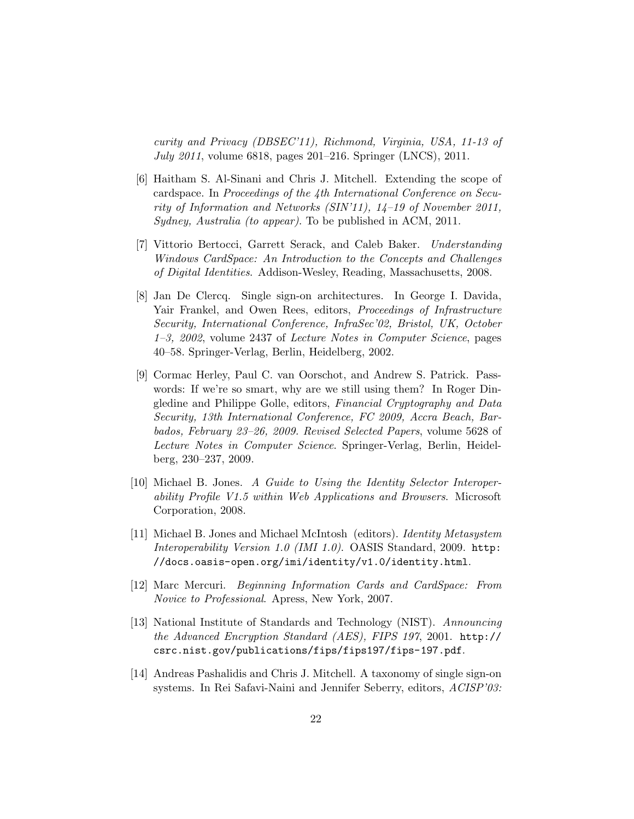curity and Privacy (DBSEC'11), Richmond, Virginia, USA, 11-13 of July 2011, volume 6818, pages 201–216. Springer (LNCS), 2011.

- [6] Haitham S. Al-Sinani and Chris J. Mitchell. Extending the scope of cardspace. In Proceedings of the 4th International Conference on Security of Information and Networks (SIN'11), 14–19 of November 2011, Sydney, Australia (to appear). To be published in ACM, 2011.
- [7] Vittorio Bertocci, Garrett Serack, and Caleb Baker. Understanding Windows CardSpace: An Introduction to the Concepts and Challenges of Digital Identities. Addison-Wesley, Reading, Massachusetts, 2008.
- [8] Jan De Clercq. Single sign-on architectures. In George I. Davida, Yair Frankel, and Owen Rees, editors, Proceedings of Infrastructure Security, International Conference, InfraSec'02, Bristol, UK, October 1–3, 2002, volume 2437 of Lecture Notes in Computer Science, pages 40–58. Springer-Verlag, Berlin, Heidelberg, 2002.
- [9] Cormac Herley, Paul C. van Oorschot, and Andrew S. Patrick. Passwords: If we're so smart, why are we still using them? In Roger Dingledine and Philippe Golle, editors, Financial Cryptography and Data Security, 13th International Conference, FC 2009, Accra Beach, Barbados, February 23–26, 2009. Revised Selected Papers, volume 5628 of Lecture Notes in Computer Science. Springer-Verlag, Berlin, Heidelberg, 230–237, 2009.
- [10] Michael B. Jones. A Guide to Using the Identity Selector Interoperability Profile V1.5 within Web Applications and Browsers. Microsoft Corporation, 2008.
- [11] Michael B. Jones and Michael McIntosh (editors). Identity Metasystem Interoperability Version 1.0 (IMI 1.0). OASIS Standard, 2009. http: //docs.oasis-open.org/imi/identity/v1.0/identity.html.
- [12] Marc Mercuri. Beginning Information Cards and CardSpace: From Novice to Professional. Apress, New York, 2007.
- [13] National Institute of Standards and Technology (NIST). Announcing the Advanced Encryption Standard (AES), FIPS 197, 2001. http:// csrc.nist.gov/publications/fips/fips197/fips-197.pdf.
- [14] Andreas Pashalidis and Chris J. Mitchell. A taxonomy of single sign-on systems. In Rei Safavi-Naini and Jennifer Seberry, editors, ACISP'03: